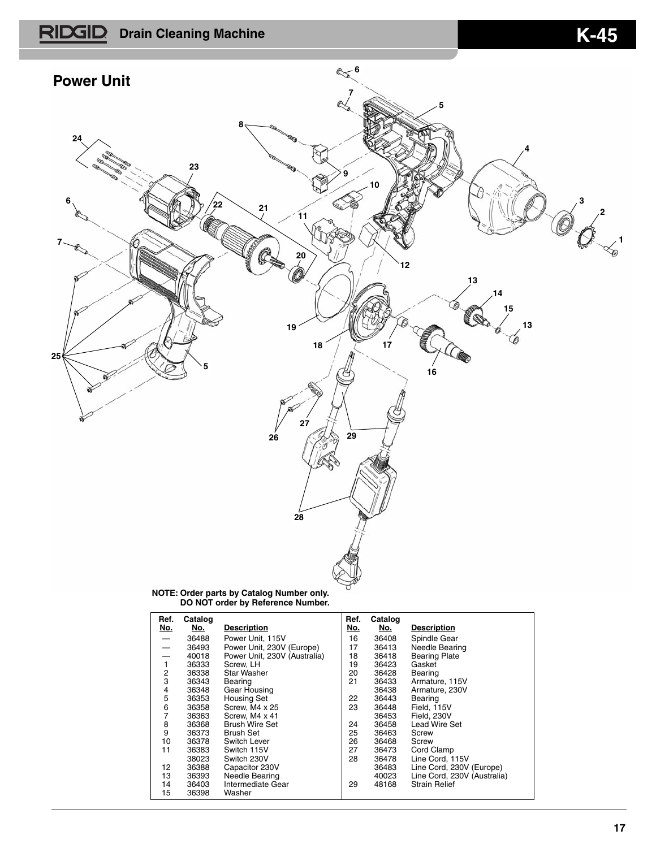## **RIDGID** Drain Cleaning Machine **K-45**



**NOTE: Order parts by Catalog Number only. DO NOT order by Reference Number.**

| Ref.<br><u>No.</u>       | Catalog<br><u>No.</u> | <b>Description</b>           | Ref.<br>No. | Catalog<br>No. | <b>Description</b>          |
|--------------------------|-----------------------|------------------------------|-------------|----------------|-----------------------------|
|                          | 36488                 | Power Unit. 115V             | 16          | 36408          | Spindle Gear                |
| $\overline{\phantom{0}}$ | 36493                 | Power Unit, 230V (Europe)    | 17          | 36413          | Needle Bearing              |
| $\overline{\phantom{0}}$ | 40018                 | Power Unit, 230V (Australia) | 18          | 36418          | <b>Bearing Plate</b>        |
| 1                        | 36333                 | Screw. LH                    | 19          | 36423          | Gasket                      |
| 2                        | 36338                 | <b>Star Washer</b>           | 20          | 36428          | Bearing                     |
| 3                        | 36343                 | Bearing                      | 21          | 36433          | Armature, 115V              |
| 4                        | 36348                 | Gear Housing                 |             | 36438          | Armature, 230V              |
| 5                        | 36353                 | <b>Housing Set</b>           | 22          | 36443          | Bearing                     |
| 6                        | 36358                 | Screw. M4 x 25               | 23          | 36448          | Field, 115V                 |
| 7                        | 36363                 | Screw, M4 x 41               |             | 36453          | Field, 230V                 |
| 8                        | 36368                 | <b>Brush Wire Set</b>        | 24          | 36458          | Lead Wire Set               |
| 9                        | 36373                 | <b>Brush Set</b>             | 25          | 36463          | Screw                       |
| 10                       | 36378                 | Switch Lever                 | 26          | 36468          | Screw                       |
| 11                       | 36383                 | Switch 115V                  | 27          | 36473          | Cord Clamp                  |
|                          | 38023                 | Switch 230V                  | 28          | 36478          | Line Cord, 115V             |
| 12                       | 36388                 | Capacitor 230V               |             | 36483          | Line Cord, 230V (Europe)    |
| 13                       | 36393                 | Needle Bearing               |             | 40023          | Line Cord, 230V (Australia) |
| 14                       | 36403                 | Intermediate Gear            | 29          | 48168          | <b>Strain Relief</b>        |
| 15                       | 36398                 | Washer                       |             |                |                             |